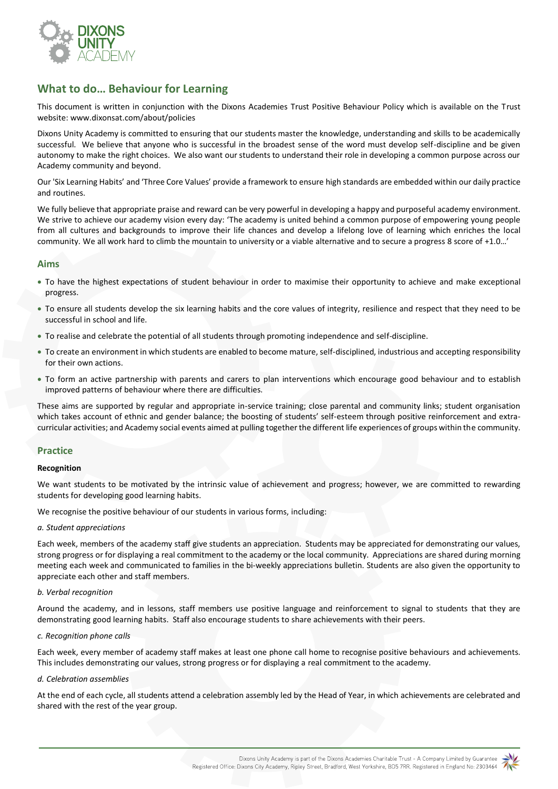

# **What to do… Behaviour for Learning**

This document is written in conjunction with the Dixons Academies Trust Positive Behaviour Policy which is available on the Trust website[: www.dixonsat.com/about/policies](http://www.dixonsat.com/about/policies)

Dixons Unity Academy is committed to ensuring that our students master the knowledge, understanding and skills to be academically successful. We believe that anyone who is successful in the broadest sense of the word must develop self-discipline and be given autonomy to make the right choices. We also want our students to understand their role in developing a common purpose across our Academy community and beyond.

Our 'Six Learning Habits' and 'Three Core Values' provide a framework to ensure high standards are embedded within our daily practice and routines.

We fully believe that appropriate praise and reward can be very powerful in developing a happy and purposeful academy environment. We strive to achieve our academy vision every day: 'The academy is united behind a common purpose of empowering young people from all cultures and backgrounds to improve their life chances and develop a lifelong love of learning which enriches the local community. We all work hard to climb the mountain to university or a viable alternative and to secure a progress 8 score of +1.0…'

## **Aims**

- To have the highest expectations of student behaviour in order to maximise their opportunity to achieve and make exceptional progress.
- To ensure all students develop the six learning habits and the core values of integrity, resilience and respect that they need to be successful in school and life.
- To realise and celebrate the potential of all students through promoting independence and self-discipline.
- To create an environment in which students are enabled to become mature, self-disciplined, industrious and accepting responsibility for their own actions.
- To form an active partnership with parents and carers to plan interventions which encourage good behaviour and to establish improved patterns of behaviour where there are difficulties.

These aims are supported by regular and appropriate in-service training; close parental and community links; student organisation which takes account of ethnic and gender balance; the boosting of students' self-esteem through positive reinforcement and extracurricular activities; and Academy social events aimed at pulling together the different life experiences of groups within the community.

## **Practice**

#### **Recognition**

We want students to be motivated by the intrinsic value of achievement and progress; however, we are committed to rewarding students for developing good learning habits.

We recognise the positive behaviour of our students in various forms, including:

#### *a. Student appreciations*

Each week, members of the academy staff give students an appreciation. Students may be appreciated for demonstrating our values, strong progress or for displaying a real commitment to the academy or the local community. Appreciations are shared during morning meeting each week and communicated to families in the bi-weekly appreciations bulletin. Students are also given the opportunity to appreciate each other and staff members.

#### *b. Verbal recognition*

Around the academy, and in lessons, staff members use positive language and reinforcement to signal to students that they are demonstrating good learning habits. Staff also encourage students to share achievements with their peers.

#### *c. Recognition phone calls*

Each week, every member of academy staff makes at least one phone call home to recognise positive behaviours and achievements. This includes demonstrating our values, strong progress or for displaying a real commitment to the academy.

#### *d. Celebration assemblies*

At the end of each cycle, all students attend a celebration assembly led by the Head of Year, in which achievements are celebrated and shared with the rest of the year group.

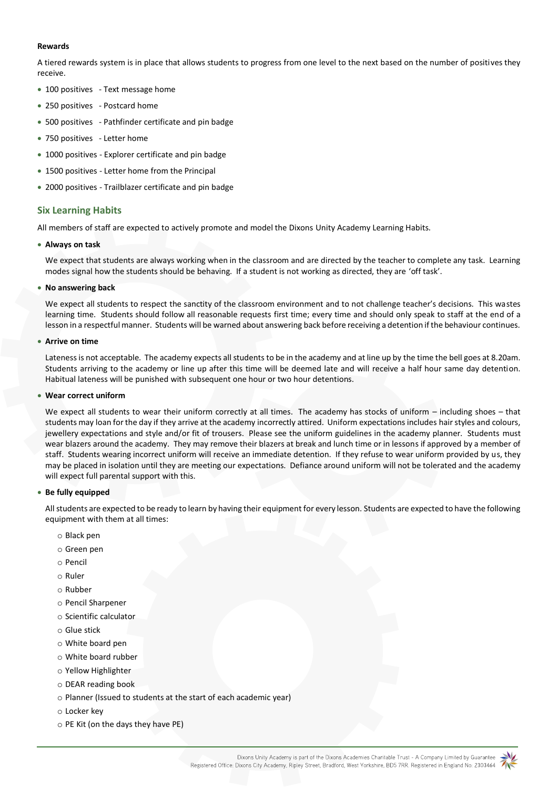#### **Rewards**

A tiered rewards system is in place that allows students to progress from one level to the next based on the number of positives they receive.

- 100 positives Text message home
- 250 positives Postcard home
- 500 positives Pathfinder certificate and pin badge
- 750 positives Letter home
- 1000 positives Explorer certificate and pin badge
- 1500 positives Letter home from the Principal
- 2000 positives Trailblazer certificate and pin badge

## **Six Learning Habits**

All members of staff are expected to actively promote and model the Dixons Unity Academy Learning Habits.

#### • **Always on task**

We expect that students are always working when in the classroom and are directed by the teacher to complete any task. Learning modes signal how the students should be behaving. If a student is not working as directed, they are 'off task'.

#### • **No answering back**

We expect all students to respect the sanctity of the classroom environment and to not challenge teacher's decisions. This wastes learning time. Students should follow all reasonable requests first time; every time and should only speak to staff at the end of a lesson in a respectful manner. Students will be warned about answering back before receiving a detention if the behaviour continues.

#### • **Arrive on time**

Lateness is not acceptable. The academy expects all students to be in the academy and at line up by the time the bell goes at 8.20am. Students arriving to the academy or line up after this time will be deemed late and will receive a half hour same day detention. Habitual lateness will be punished with subsequent one hour or two hour detentions.

#### • **Wear correct uniform**

We expect all students to wear their uniform correctly at all times. The academy has stocks of uniform – including shoes – that students may loan for the day if they arrive at the academy incorrectly attired. Uniform expectations includes hair styles and colours, jewellery expectations and style and/or fit of trousers. Please see the uniform guidelines in the academy planner. Students must wear blazers around the academy. They may remove their blazers at break and lunch time or in lessons if approved by a member of staff. Students wearing incorrect uniform will receive an immediate detention. If they refuse to wear uniform provided by us, they may be placed in isolation until they are meeting our expectations. Defiance around uniform will not be tolerated and the academy will expect full parental support with this.

## • **Be fully equipped**

All students are expected to be ready to learn by having their equipment for every lesson. Students are expected to have the following equipment with them at all times:

- o Black pen
- o Green pen
- o Pencil
- o Ruler
- o Rubber
- o Pencil Sharpener
- o Scientific calculator
- o Glue stick
- o White board pen
- o White board rubber
- o Yellow Highlighter
- o DEAR reading book
- o Planner (Issued to students at the start of each academic year)
- o Locker key
- o PE Kit (on the days they have PE)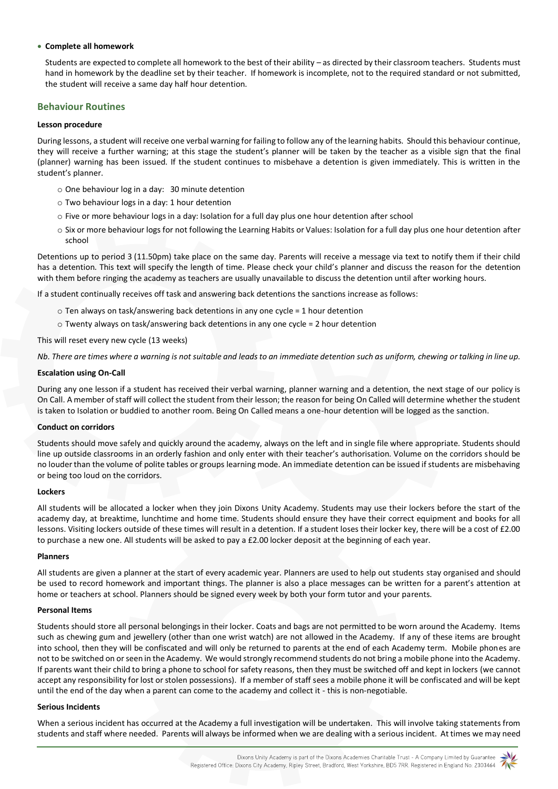#### • **Complete all homework**

Students are expected to complete all homework to the best of their ability – as directed by their classroom teachers. Students must hand in homework by the deadline set by their teacher. If homework is incomplete, not to the required standard or not submitted, the student will receive a same day half hour detention.

## **Behaviour Routines**

#### **Lesson procedure**

During lessons, a student will receive one verbal warning for failing to follow any of the learning habits. Should this behaviour continue, they will receive a further warning; at this stage the student's planner will be taken by the teacher as a visible sign that the final (planner) warning has been issued. If the student continues to misbehave a detention is given immediately. This is written in the student's planner.

- o One behaviour log in a day: 30 minute detention
- o Two behaviour logs in a day: 1 hour detention
- o Five or more behaviour logs in a day: Isolation for a full day plus one hour detention after school
- o Six or more behaviour logs for not following the Learning Habits or Values: Isolation for a full day plus one hour detention after school

Detentions up to period 3 (11.50pm) take place on the same day. Parents will receive a message via text to notify them if their child has a detention. This text will specify the length of time. Please check your child's planner and discuss the reason for the detention with them before ringing the academy as teachers are usually unavailable to discuss the detention until after working hours.

If a student continually receives off task and answering back detentions the sanctions increase as follows:

- $\circ$  Ten always on task/answering back detentions in any one cycle = 1 hour detention
- o Twenty always on task/answering back detentions in any one cycle = 2 hour detention

This will reset every new cycle (13 weeks)

*Nb. There are times where a warning is not suitable and leads to an immediate detention such as uniform, chewing or talking in line up.* 

#### **Escalation using On-Call**

During any one lesson if a student has received their verbal warning, planner warning and a detention, the next stage of our policy is On Call. A member of staff will collect the student from their lesson; the reason for being On Called will determine whether the student is taken to Isolation or buddied to another room. Being On Called means a one-hour detention will be logged as the sanction.

#### **Conduct on corridors**

Students should move safely and quickly around the academy, always on the left and in single file where appropriate. Students should line up outside classrooms in an orderly fashion and only enter with their teacher's authorisation. Volume on the corridors should be no louder than the volume of polite tables or groups learning mode. An immediate detention can be issued if students are misbehaving or being too loud on the corridors.

#### **Lockers**

All students will be allocated a locker when they join Dixons Unity Academy. Students may use their lockers before the start of the academy day, at breaktime, lunchtime and home time. Students should ensure they have their correct equipment and books for all lessons. Visiting lockers outside of these times will result in a detention. If a student loses their locker key, there will be a cost of £2.00 to purchase a new one. All students will be asked to pay a £2.00 locker deposit at the beginning of each year.

#### **Planners**

All students are given a planner at the start of every academic year. Planners are used to help out students stay organised and should be used to record homework and important things. The planner is also a place messages can be written for a parent's attention at home or teachers at school. Planners should be signed every week by both your form tutor and your parents.

#### **Personal Items**

Students should store all personal belongings in their locker. Coats and bags are not permitted to be worn around the Academy. Items such as chewing gum and jewellery (other than one wrist watch) are not allowed in the Academy. If any of these items are brought into school, then they will be confiscated and will only be returned to parents at the end of each Academy term. Mobile phones are not to be switched on or seen in the Academy. We would strongly recommend students do not bring a mobile phone into the Academy. If parents want their child to bring a phone to school for safety reasons, then they must be switched off and kept in lockers (we cannot accept any responsibility for lost or stolen possessions). If a member of staff sees a mobile phone it will be confiscated and will be kept until the end of the day when a parent can come to the academy and collect it - this is non-negotiable.

#### **Serious Incidents**

When a serious incident has occurred at the Academy a full investigation will be undertaken. This will involve taking statements from students and staff where needed. Parents will always be informed when we are dealing with a serious incident. At times we may need

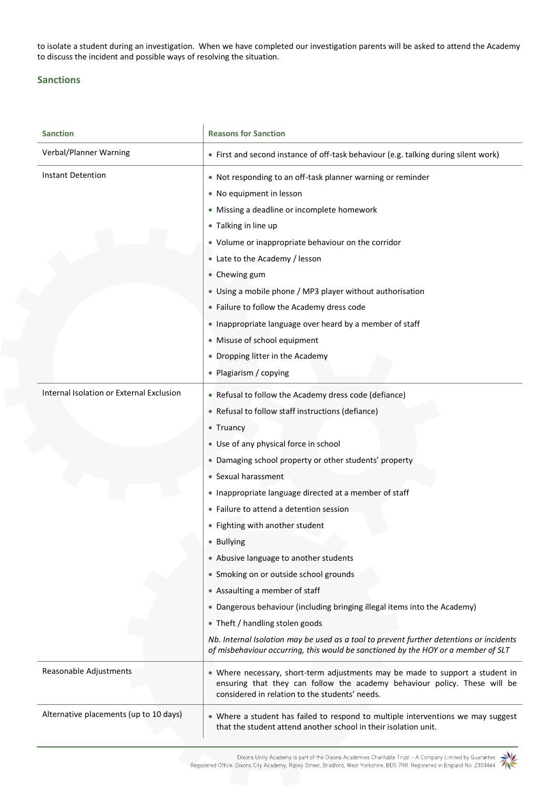to isolate a student during an investigation. When we have completed our investigation parents will be asked to attend the Academy to discuss the incident and possible ways of resolving the situation.

## **Sanctions**

| <b>Sanction</b>                          | <b>Reasons for Sanction</b>                                                                                                                                                                                                                                                                                                                                                                                                                                                                                                                                                                                                                                                                                                                                          |
|------------------------------------------|----------------------------------------------------------------------------------------------------------------------------------------------------------------------------------------------------------------------------------------------------------------------------------------------------------------------------------------------------------------------------------------------------------------------------------------------------------------------------------------------------------------------------------------------------------------------------------------------------------------------------------------------------------------------------------------------------------------------------------------------------------------------|
| Verbal/Planner Warning                   | • First and second instance of off-task behaviour (e.g. talking during silent work)                                                                                                                                                                                                                                                                                                                                                                                                                                                                                                                                                                                                                                                                                  |
| Instant Detention                        | • Not responding to an off-task planner warning or reminder<br>• No equipment in lesson<br>• Missing a deadline or incomplete homework<br>• Talking in line up<br>• Volume or inappropriate behaviour on the corridor<br>• Late to the Academy / lesson<br>• Chewing gum<br>• Using a mobile phone / MP3 player without authorisation<br>• Failure to follow the Academy dress code<br>. Inappropriate language over heard by a member of staff<br>• Misuse of school equipment<br>• Dropping litter in the Academy                                                                                                                                                                                                                                                  |
| Internal Isolation or External Exclusion | • Plagiarism / copying<br>• Refusal to follow the Academy dress code (defiance)                                                                                                                                                                                                                                                                                                                                                                                                                                                                                                                                                                                                                                                                                      |
|                                          | • Refusal to follow staff instructions (defiance)<br>• Truancy<br>• Use of any physical force in school<br>• Damaging school property or other students' property<br>• Sexual harassment<br>• Inappropriate language directed at a member of staff<br>• Failure to attend a detention session<br>• Fighting with another student<br>• Bullying<br>• Abusive language to another students<br>• Smoking on or outside school grounds<br>• Assaulting a member of staff<br>• Dangerous behaviour (including bringing illegal items into the Academy)<br>• Theft / handling stolen goods<br>Nb. Internal Isolation may be used as a tool to prevent further detentions or incidents<br>of misbehaviour occurring, this would be sanctioned by the HOY or a member of SLT |
| Reasonable Adjustments                   | . Where necessary, short-term adjustments may be made to support a student in<br>ensuring that they can follow the academy behaviour policy. These will be<br>considered in relation to the students' needs.                                                                                                                                                                                                                                                                                                                                                                                                                                                                                                                                                         |
| Alternative placements (up to 10 days)   | • Where a student has failed to respond to multiple interventions we may suggest<br>that the student attend another school in their isolation unit.                                                                                                                                                                                                                                                                                                                                                                                                                                                                                                                                                                                                                  |

Dixons Unity Academy is part of the Dixons Academies Charitable Trust - A Company Limited by Guarantee<br>Registered Office: Dixons City Academy, Ripley Street, Bradford, West Yorkshire, BD5 7RR. Registered in England No: 230